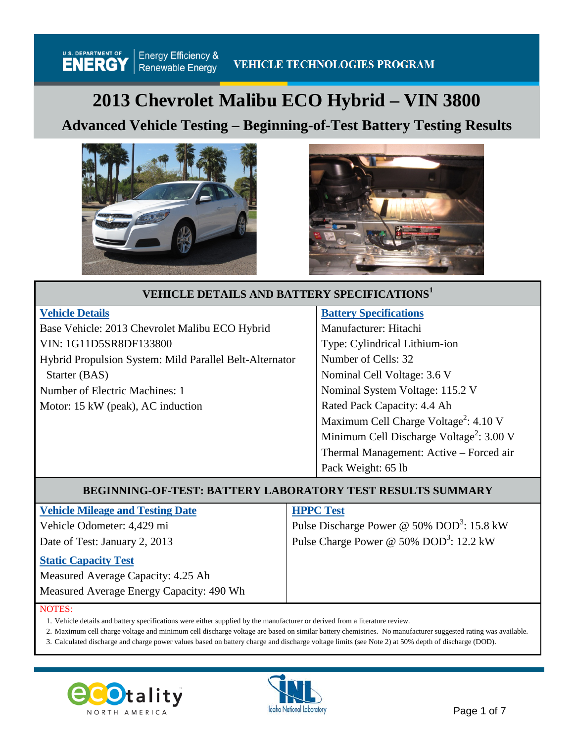# **2013 Chevrolet Malibu ECO Hybrid – VIN 3800**

## **Advanced Vehicle Testing – Beginning-of-Test Battery Testing Results**





## **VEHICLE DETAILS AND BATTERY SPECIFICATIONS<sup>1</sup>**

| <b>Vehicle Details</b>                                  | <b>Battery Specifications</b>                        |
|---------------------------------------------------------|------------------------------------------------------|
| Base Vehicle: 2013 Chevrolet Malibu ECO Hybrid          | Manufacturer: Hitachi                                |
| VIN: 1G11D5SR8DF133800                                  | Type: Cylindrical Lithium-ion                        |
| Hybrid Propulsion System: Mild Parallel Belt-Alternator | Number of Cells: 32                                  |
| Starter (BAS)                                           | Nominal Cell Voltage: 3.6 V                          |
| Number of Electric Machines: 1                          | Nominal System Voltage: 115.2 V                      |
| Motor: 15 kW (peak), AC induction                       | Rated Pack Capacity: 4.4 Ah                          |
|                                                         | Maximum Cell Charge Voltage <sup>2</sup> : 4.10 V    |
|                                                         | Minimum Cell Discharge Voltage <sup>2</sup> : 3.00 V |
|                                                         | Thermal Management: Active - Forced air              |
|                                                         | Pack Weight: 65 lb                                   |

## **BEGINNING-OF-TEST: BATTERY LABORATORY TEST RESULTS SUMMARY**

|  | <b>Vehicle Mileage and Testing Date</b> |
|--|-----------------------------------------|
|--|-----------------------------------------|

Vehicle Odometer: 4,429 mi Date of Test: January 2, 2013

#### **Static Capacity Test**

Measured Average Capacity: 4.25 Ah

#### **HPPC Test**

Pulse Discharge Power @ 50%  $DOD^3$ : 15.8 kW Pulse Charge Power @ 50% DOD<sup>3</sup>: 12.2 kW

Measured Average Energy Capacity: 490 Wh

#### NOTES:

1. Vehicle details and battery specifications were either supplied by the manufacturer or derived from a literature review.

2. Maximum cell charge voltage and minimum cell discharge voltage are based on similar battery chemistries. No manufacturer suggested rating was available.

3. Calculated discharge and charge power values based on battery charge and discharge voltage limits (see Note 2) at 50% depth of discharge (DOD).



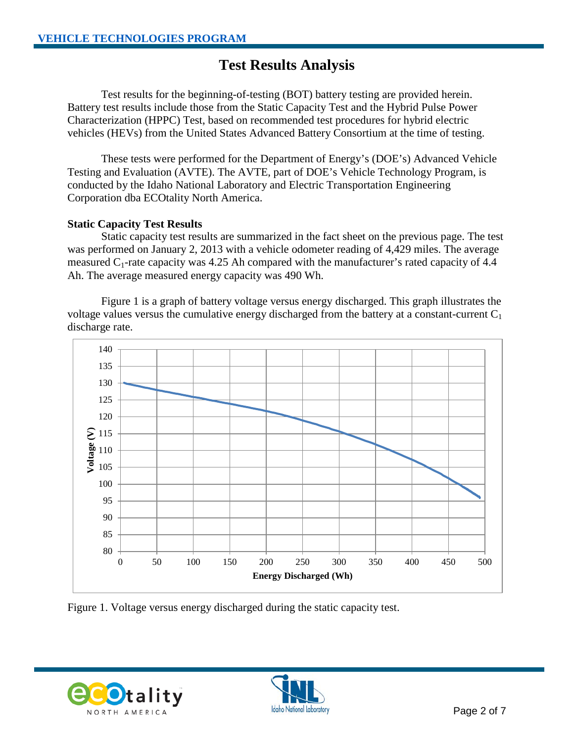## **Test Results Analysis**

Test results for the beginning-of-testing (BOT) battery testing are provided herein. Battery test results include those from the Static Capacity Test and the Hybrid Pulse Power Characterization (HPPC) Test, based on recommended test procedures for hybrid electric vehicles (HEVs) from the United States Advanced Battery Consortium at the time of testing.

These tests were performed for the Department of Energy's (DOE's) Advanced Vehicle Testing and Evaluation (AVTE). The AVTE, part of DOE's Vehicle Technology Program, is conducted by the Idaho National Laboratory and Electric Transportation Engineering Corporation dba ECOtality North America.

### **Static Capacity Test Results**

Static capacity test results are summarized in the fact sheet on the previous page. The test was performed on January 2, 2013 with a vehicle odometer reading of 4,429 miles. The average measured  $C_1$ -rate capacity was 4.25 Ah compared with the manufacturer's rated capacity of 4.4 Ah. The average measured energy capacity was 490 Wh.

Figure 1 is a graph of battery voltage versus energy discharged. This graph illustrates the voltage values versus the cumulative energy discharged from the battery at a constant-current  $C_1$ discharge rate.



Figure 1. Voltage versus energy discharged during the static capacity test.



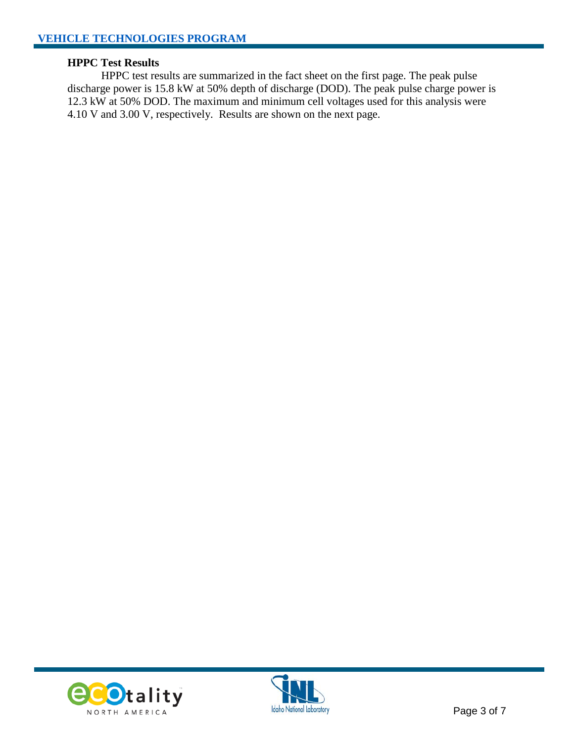#### **HPPC Test Results**

HPPC test results are summarized in the fact sheet on the first page. The peak pulse discharge power is 15.8 kW at 50% depth of discharge (DOD). The peak pulse charge power is 12.3 kW at 50% DOD. The maximum and minimum cell voltages used for this analysis were 4.10 V and 3.00 V, respectively. Results are shown on the next page.



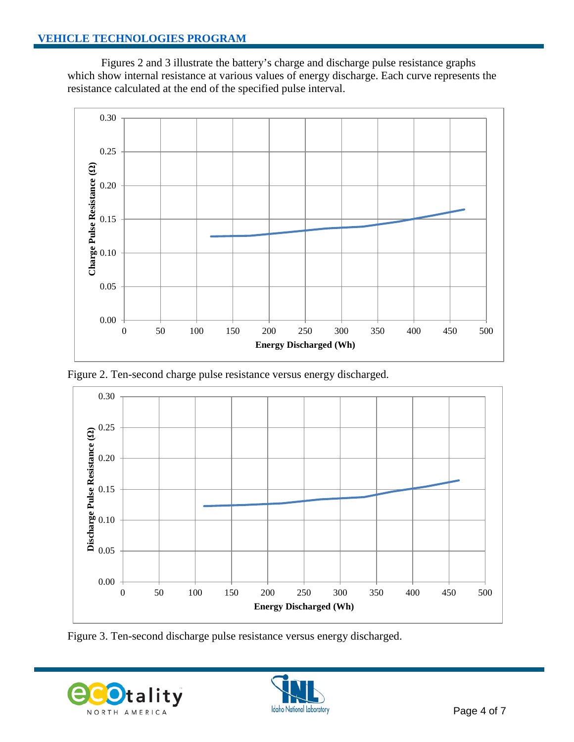Figures 2 and 3 illustrate the battery's charge and discharge pulse resistance graphs which show internal resistance at various values of energy discharge. Each curve represents the resistance calculated at the end of the specified pulse interval.



Figure 2. Ten-second charge pulse resistance versus energy discharged.



Figure 3. Ten-second discharge pulse resistance versus energy discharged.



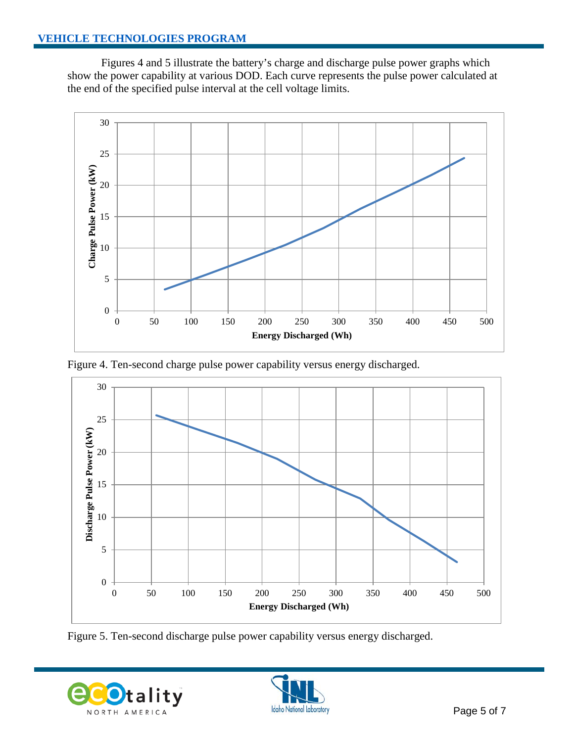Figures 4 and 5 illustrate the battery's charge and discharge pulse power graphs which show the power capability at various DOD. Each curve represents the pulse power calculated at the end of the specified pulse interval at the cell voltage limits.







Figure 5. Ten-second discharge pulse power capability versus energy discharged.



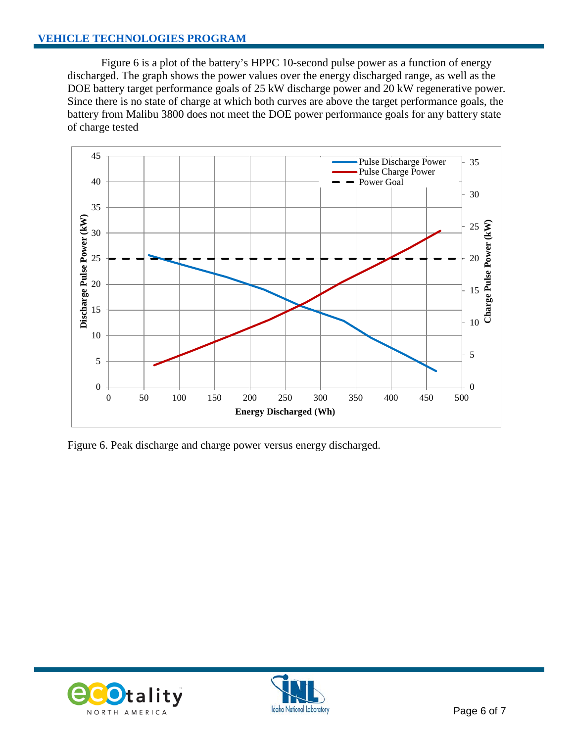Figure 6 is a plot of the battery's HPPC 10-second pulse power as a function of energy discharged. The graph shows the power values over the energy discharged range, as well as the DOE battery target performance goals of 25 kW discharge power and 20 kW regenerative power. Since there is no state of charge at which both curves are above the target performance goals, the battery from Malibu 3800 does not meet the DOE power performance goals for any battery state of charge tested



Figure 6. Peak discharge and charge power versus energy discharged.